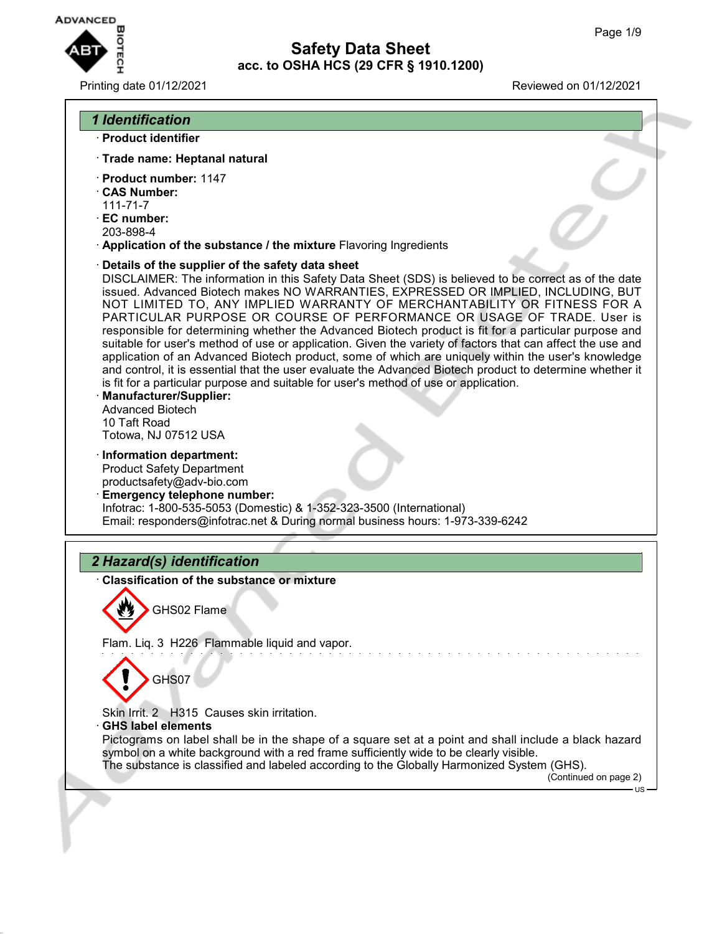

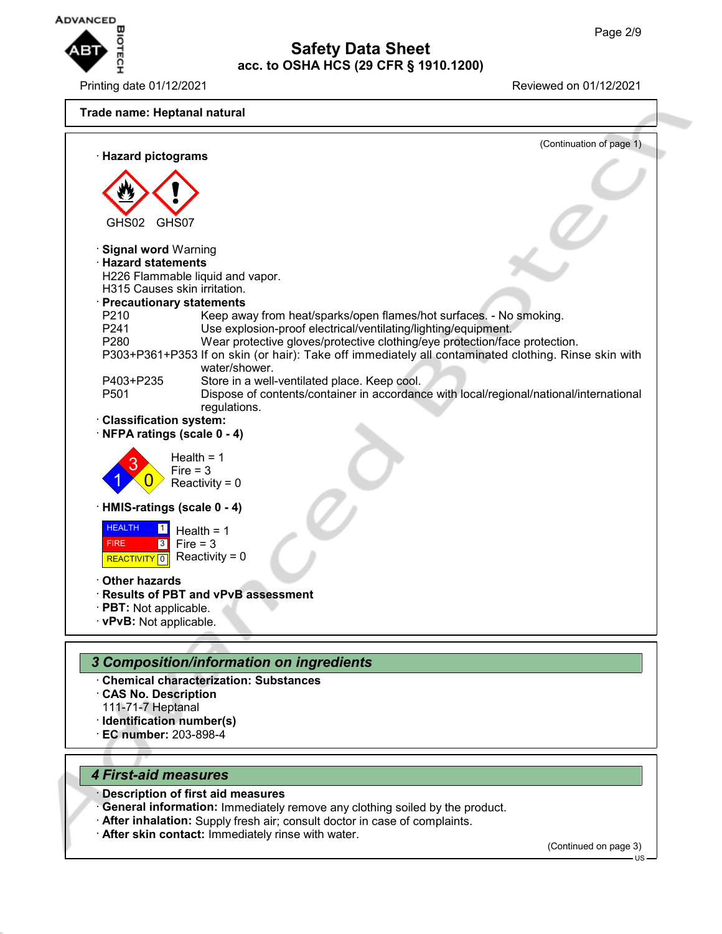

Printing date 01/12/2021 Reviewed on 01/12/2021



- · **Identification number(s)**
- · **EC number:** 203-898-4

### *4 First-aid measures*

- · **Description of first aid measures**
- **General information:** Immediately remove any clothing soiled by the product.
- After inhalation: Supply fresh air; consult doctor in case of complaints.
- **After skin contact:** Immediately rinse with water.

(Continued on page 3)

US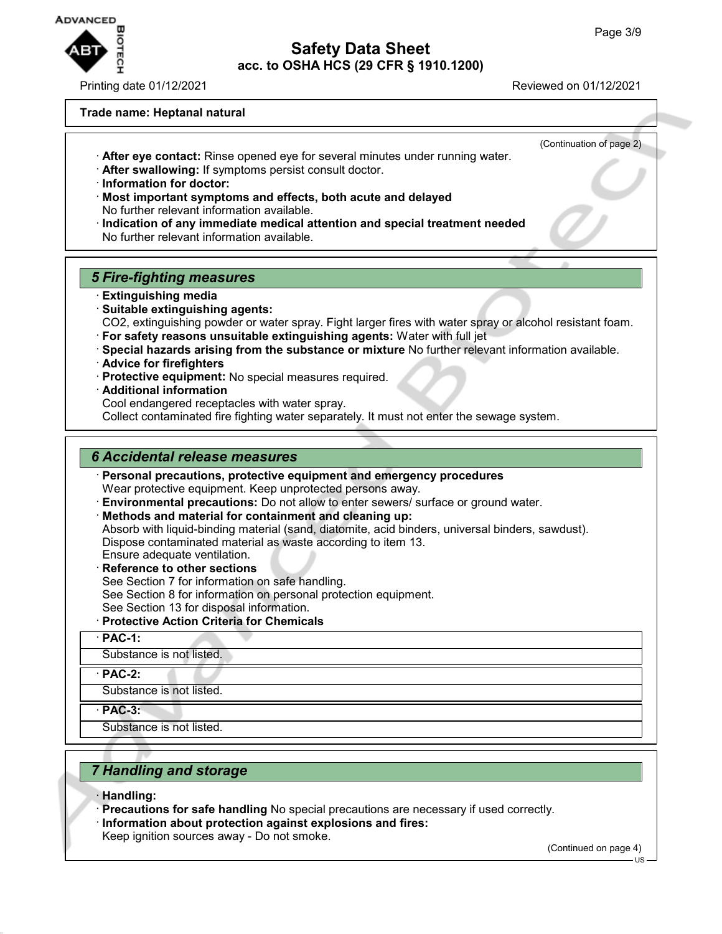

Printing date 01/12/2021 Reviewed on 01/12/2021

#### **Trade name: Heptanal natural**

- (Continuation of page 2) · **After eye contact:** Rinse opened eye for several minutes under running water.
- · **After swallowing:** If symptoms persist consult doctor.
- · **Information for doctor:**
- · **Most important symptoms and effects, both acute and delayed** No further relevant information available.
- · **Indication of any immediate medical attention and special treatment needed** No further relevant information available.

### *5 Fire-fighting measures*

- · **Extinguishing media**
- · **Suitable extinguishing agents:** CO2, extinguishing powder or water spray. Fight larger fires with water spray or alcohol resistant foam.
- · **For safety reasons unsuitable extinguishing agents:** Water with full jet
- · **Special hazards arising from the substance or mixture** No further relevant information available.
- · **Advice for firefighters**
- · **Protective equipment:** No special measures required.
- · **Additional information**
- Cool endangered receptacles with water spray.
- Collect contaminated fire fighting water separately. It must not enter the sewage system.

#### *6 Accidental release measures*

· **Personal precautions, protective equipment and emergency procedures**

Wear protective equipment. Keep unprotected persons away.

- · **Environmental precautions:** Do not allow to enter sewers/ surface or ground water.
- · **Methods and material for containment and cleaning up:**
- Absorb with liquid-binding material (sand, diatomite, acid binders, universal binders, sawdust). Dispose contaminated material as waste according to item 13.
- Ensure adequate ventilation.
- · **Reference to other sections**
- See Section 7 for information on safe handling.
- See Section 8 for information on personal protection equipment.
- See Section 13 for disposal information.

### · **Protective Action Criteria for Chemicals**

· **PAC-1:**

Substance is not listed.

· **PAC-2:**

Substance is not listed.

· **PAC-3:**

Substance is not listed.

## *7 Handling and storage*

- · **Handling:**
- · **Precautions for safe handling** No special precautions are necessary if used correctly. · **Information about protection against explosions and fires:**

Keep ignition sources away - Do not smoke.

(Continued on page 4)

US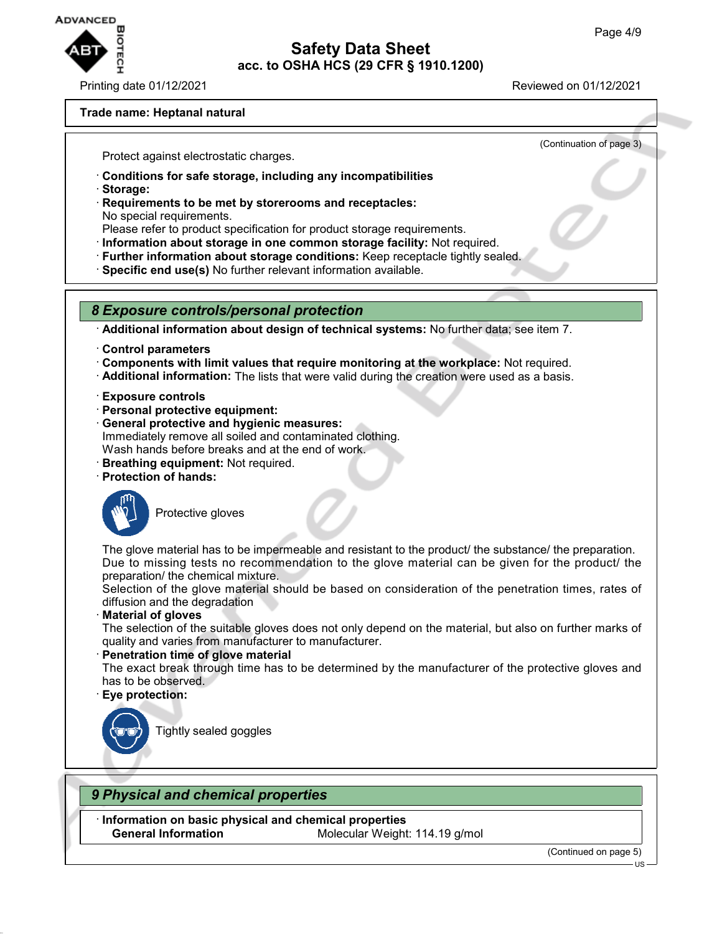

Printing date 01/12/2021 Reviewed on 01/12/2021

(Continuation of page 3)

#### **Trade name: Heptanal natural**

Protect against electrostatic charges.

- · **Conditions for safe storage, including any incompatibilities**
- · **Storage:**
- · **Requirements to be met by storerooms and receptacles:** No special requirements.
- Please refer to product specification for product storage requirements.
- · **Information about storage in one common storage facility:** Not required.
- · **Further information about storage conditions:** Keep receptacle tightly sealed.
- · **Specific end use(s)** No further relevant information available.

### *8 Exposure controls/personal protection*

· **Additional information about design of technical systems:** No further data; see item 7.

- · **Control parameters**
- · **Components with limit values that require monitoring at the workplace:** Not required.
- · **Additional information:** The lists that were valid during the creation were used as a basis.
- · **Exposure controls**
- · **Personal protective equipment:**
- · **General protective and hygienic measures:** Immediately remove all soiled and contaminated clothing. Wash hands before breaks and at the end of work.
- · **Breathing equipment:** Not required.
- · **Protection of hands:**



Protective gloves

The glove material has to be impermeable and resistant to the product/ the substance/ the preparation. Due to missing tests no recommendation to the glove material can be given for the product/ the preparation/ the chemical mixture.

Selection of the glove material should be based on consideration of the penetration times, rates of diffusion and the degradation

· **Material of gloves**

The selection of the suitable gloves does not only depend on the material, but also on further marks of quality and varies from manufacturer to manufacturer.

· **Penetration time of glove material**

The exact break through time has to be determined by the manufacturer of the protective gloves and has to be observed.

· **Eye protection:**



Tightly sealed goggles

### *9 Physical and chemical properties*

· **Information on basic physical and chemical properties General Information** Molecular Weight: 114.19 g/mol

(Continued on page 5)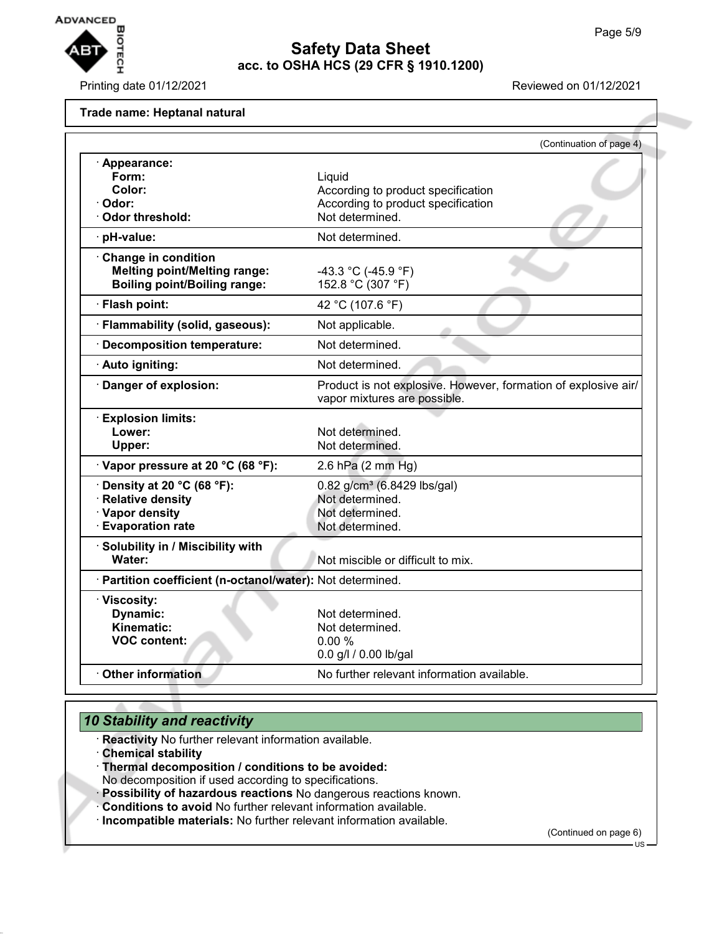

Printing date 01/12/2021 **Reviewed on 01/12/2021** 

**Trade name: Heptanal natural**

|                                                                                                    | (Continuation of page 4)                                                                              |  |
|----------------------------------------------------------------------------------------------------|-------------------------------------------------------------------------------------------------------|--|
| · Appearance:<br>Form:<br>Color:<br>Odor:<br><b>Odor threshold:</b>                                | Liquid<br>According to product specification<br>According to product specification<br>Not determined. |  |
| pH-value:                                                                                          | Not determined.                                                                                       |  |
| Change in condition<br><b>Melting point/Melting range:</b><br><b>Boiling point/Boiling range:</b>  | -43.3 °C (-45.9 °F)<br>152.8 °C (307 °F)                                                              |  |
| · Flash point:                                                                                     | 42 °C (107.6 °F)                                                                                      |  |
| · Flammability (solid, gaseous):                                                                   | Not applicable.                                                                                       |  |
| <b>Decomposition temperature:</b>                                                                  | Not determined.                                                                                       |  |
| · Auto igniting:                                                                                   | Not determined.                                                                                       |  |
| Danger of explosion:                                                                               | Product is not explosive. However, formation of explosive air/<br>vapor mixtures are possible.        |  |
| · Explosion limits:<br>Lower:<br>Upper:                                                            | Not determined.<br>Not determined.                                                                    |  |
| Vapor pressure at 20 °C (68 °F):                                                                   | 2.6 hPa (2 mm Hg)                                                                                     |  |
| Density at 20 °C (68 °F):<br><b>Relative density</b><br>· Vapor density<br><b>Evaporation rate</b> | 0.82 g/cm <sup>3</sup> (6.8429 lbs/gal)<br>Not determined.<br>Not determined.<br>Not determined.      |  |
| · Solubility in / Miscibility with<br>Water:                                                       | Not miscible or difficult to mix.                                                                     |  |
| · Partition coefficient (n-octanol/water): Not determined.                                         |                                                                                                       |  |
| · Viscosity:<br>Dynamic:<br>Kinematic:<br><b>VOC content:</b>                                      | Not determined.<br>Not determined.<br>0.00%<br>0.0 g/l / 0.00 lb/gal                                  |  |
| <b>Other information</b>                                                                           | No further relevant information available.                                                            |  |

## *10 Stability and reactivity*

· **Reactivity** No further relevant information available.

- · **Chemical stability**
- · **Thermal decomposition / conditions to be avoided:**

No decomposition if used according to specifications.

- · **Possibility of hazardous reactions** No dangerous reactions known.
- · **Conditions to avoid** No further relevant information available.
- · **Incompatible materials:** No further relevant information available.

(Continued on page 6)

US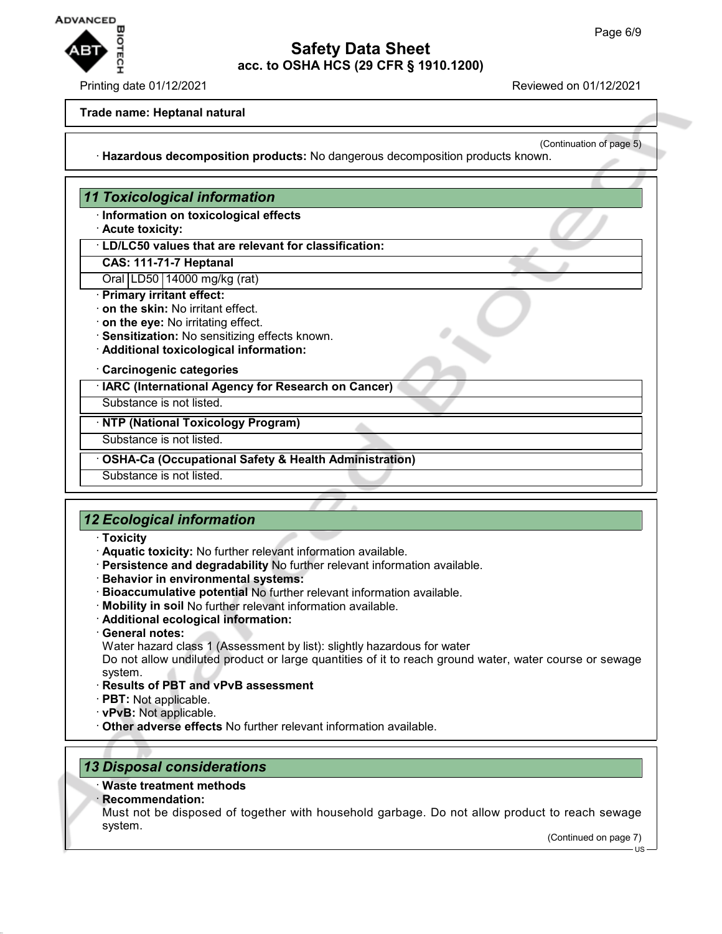

#### Printing date 01/12/2021 Reviewed on 01/12/2021

#### **Trade name: Heptanal natural**

(Continuation of page 5) · **Hazardous decomposition products:** No dangerous decomposition products known.

### *11 Toxicological information*

- · **Information on toxicological effects**
- · **Acute toxicity:**
- · **LD/LC50 values that are relevant for classification:**
- **CAS: 111-71-7 Heptanal**
- Oral LD50 14000 mg/kg (rat)
- · **Primary irritant effect:**
- · **on the skin:** No irritant effect.
- · **on the eye:** No irritating effect.
- · **Sensitization:** No sensitizing effects known.
- · **Additional toxicological information:**

#### · **Carcinogenic categories**

· **IARC (International Agency for Research on Cancer)**

Substance is not listed.

· **NTP (National Toxicology Program)**

Substance is not listed.

#### · **OSHA-Ca (Occupational Safety & Health Administration)**

Substance is not listed.

### *12 Ecological information*

- · **Toxicity**
- · **Aquatic toxicity:** No further relevant information available.
- · **Persistence and degradability** No further relevant information available.
- · **Behavior in environmental systems:**
- · **Bioaccumulative potential** No further relevant information available.
- · **Mobility in soil** No further relevant information available.
- · **Additional ecological information:**
- · **General notes:**

Water hazard class 1 (Assessment by list): slightly hazardous for water

Do not allow undiluted product or large quantities of it to reach ground water, water course or sewage system.

- · **Results of PBT and vPvB assessment**
- · **PBT:** Not applicable.
- · **vPvB:** Not applicable.
- · **Other adverse effects** No further relevant information available.

### *13 Disposal considerations*

### · **Waste treatment methods**

- · **Recommendation:**
- Must not be disposed of together with household garbage. Do not allow product to reach sewage system.

(Continued on page 7)

 $\overline{118}$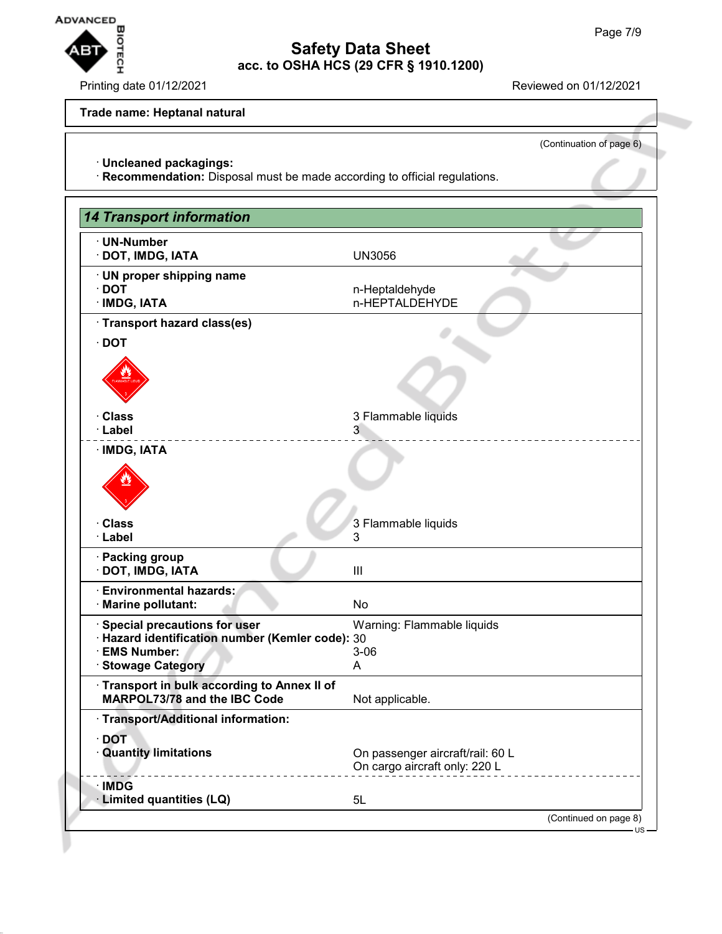

Printing date 01/12/2021 **Reviewed on 01/12/2021** 

### **Trade name: Heptanal natural**

(Continuation of page 6)

· **Uncleaned packagings:**

· **Recommendation:** Disposal must be made according to official regulations.

| <b>14 Transport information</b>                                              |                                                                   |
|------------------------------------------------------------------------------|-------------------------------------------------------------------|
| · UN-Number<br>· DOT, IMDG, IATA                                             | <b>UN3056</b>                                                     |
| · UN proper shipping name<br>$\cdot$ DOT<br>· IMDG, IATA                     | n-Heptaldehyde<br>n-HEPTALDEHYDE                                  |
| · Transport hazard class(es)                                                 |                                                                   |
| $\cdot$ DOT                                                                  |                                                                   |
|                                                                              |                                                                   |
| · Class                                                                      | 3 Flammable liquids                                               |
| · Label                                                                      | 3                                                                 |
| · IMDG, IATA                                                                 |                                                                   |
| · Class<br>· Label                                                           | 3 Flammable liquids<br>3                                          |
| · Packing group<br>· DOT, IMDG, IATA                                         | III                                                               |
| <b>Environmental hazards:</b><br>· Marine pollutant:                         | No                                                                |
| Special precautions for user                                                 | Warning: Flammable liquids                                        |
| · Hazard identification number (Kemler code): 30<br>· EMS Number:            | $3 - 06$                                                          |
| <b>Stowage Category</b>                                                      | A                                                                 |
| · Transport in bulk according to Annex II of<br>MARPOL73/78 and the IBC Code | Not applicable.                                                   |
| · Transport/Additional information:                                          |                                                                   |
| <b>DOT</b><br><b>Quantity limitations</b>                                    | On passenger aircraft/rail: 60 L<br>On cargo aircraft only: 220 L |
| · IMDG<br>· Limited quantities (LQ)                                          | 5L                                                                |
|                                                                              | (Continued on page 8)                                             |
|                                                                              | $US -$                                                            |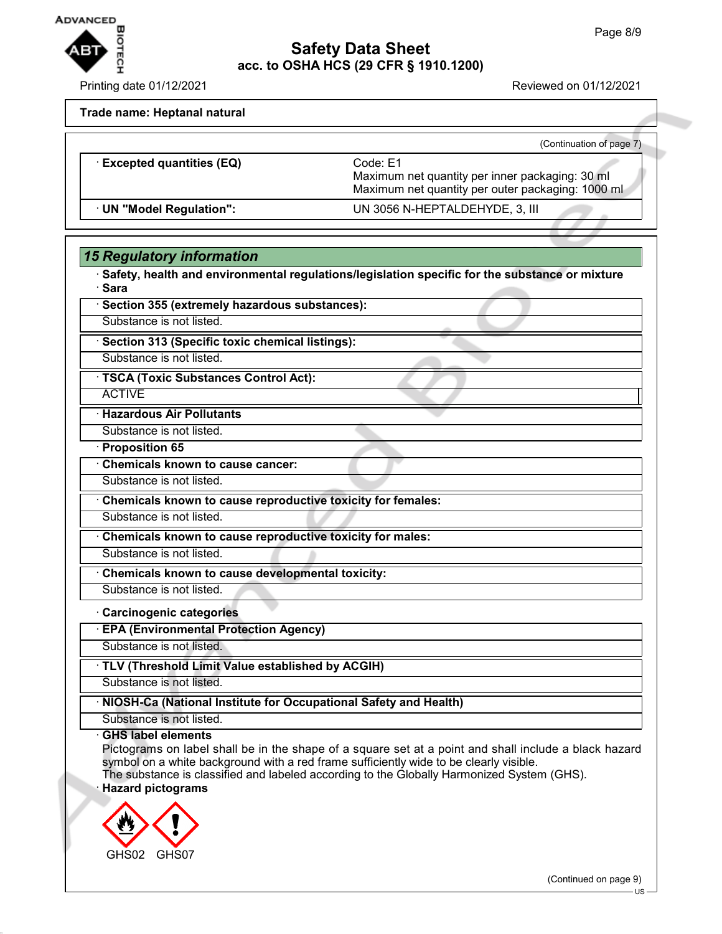

Printing date 01/12/2021 Reviewed on 01/12/2021

**Trade name: Heptanal natural**

|                                 | (Continuation of page 7)                                                                                         |
|---------------------------------|------------------------------------------------------------------------------------------------------------------|
| <b>Excepted quantities (EQ)</b> | Code: E1<br>Maximum net quantity per inner packaging: 30 ml<br>Maximum net quantity per outer packaging: 1000 ml |
| · UN "Model Regulation":        | UN 3056 N-HEPTALDEHYDE, 3, III                                                                                   |

## *15 Regulatory information*

· **Safety, health and environmental regulations/legislation specific for the substance or mixture** · **Sara**

| · Section 355 (extremely hazardous substances): |  |
|-------------------------------------------------|--|
|-------------------------------------------------|--|

Substance is not listed.

· **Section 313 (Specific toxic chemical listings):**

Substance is not listed.

· **TSCA (Toxic Substances Control Act):**

**ACTIVE** 

· **Hazardous Air Pollutants**

Substance is not listed.

· **Proposition 65**

· **Chemicals known to cause cancer:**

Substance is not listed.

· **Chemicals known to cause reproductive toxicity for females:**

Substance is not listed.

· **Chemicals known to cause reproductive toxicity for males:**

Substance is not listed.

· **Chemicals known to cause developmental toxicity:**

Substance is not listed. · **Carcinogenic categories**

· **EPA (Environmental Protection Agency)**

Substance is not listed.

· **TLV (Threshold Limit Value established by ACGIH)**

Substance is not listed.

· **NIOSH-Ca (National Institute for Occupational Safety and Health)**

Substance is not listed.

### · **GHS label elements**

Pictograms on label shall be in the shape of a square set at a point and shall include a black hazard symbol on a white background with a red frame sufficiently wide to be clearly visible.

The substance is classified and labeled according to the Globally Harmonized System (GHS). · **Hazard pictograms**



(Continued on page 9)

US